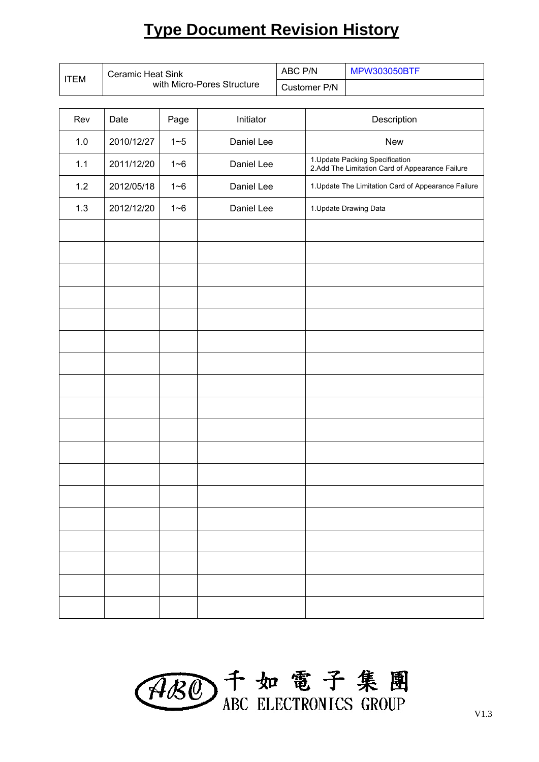# **Type Document Revision History**

| <b>ITEM</b> | Ceramic Heat Sink |                            |            | ABC P/N |                                                                                     | <b>MPW303050BTF</b> |  |
|-------------|-------------------|----------------------------|------------|---------|-------------------------------------------------------------------------------------|---------------------|--|
|             |                   | with Micro-Pores Structure |            |         | Customer P/N                                                                        |                     |  |
| Rev         | Date              | Page                       | Initiator  |         | Description                                                                         |                     |  |
| 1.0         | 2010/12/27        | $1 - 5$                    | Daniel Lee |         | <b>New</b>                                                                          |                     |  |
| 1.1         | 2011/12/20        | $1 - 6$                    | Daniel Lee |         | 1. Update Packing Specification<br>2. Add The Limitation Card of Appearance Failure |                     |  |
| 1.2         | 2012/05/18        | $1 - 6$                    | Daniel Lee |         | 1. Update The Limitation Card of Appearance Failure                                 |                     |  |
| 1.3         | 2012/12/20        | $1 - 6$                    | Daniel Lee |         | 1. Update Drawing Data                                                              |                     |  |
|             |                   |                            |            |         |                                                                                     |                     |  |
|             |                   |                            |            |         |                                                                                     |                     |  |
|             |                   |                            |            |         |                                                                                     |                     |  |
|             |                   |                            |            |         |                                                                                     |                     |  |
|             |                   |                            |            |         |                                                                                     |                     |  |
|             |                   |                            |            |         |                                                                                     |                     |  |
|             |                   |                            |            |         |                                                                                     |                     |  |
|             |                   |                            |            |         |                                                                                     |                     |  |
|             |                   |                            |            |         |                                                                                     |                     |  |
|             |                   |                            |            |         |                                                                                     |                     |  |
|             |                   |                            |            |         |                                                                                     |                     |  |
|             |                   |                            |            |         |                                                                                     |                     |  |
|             |                   |                            |            |         |                                                                                     |                     |  |
|             |                   |                            |            |         |                                                                                     |                     |  |
|             |                   |                            |            |         |                                                                                     |                     |  |
|             |                   |                            |            |         |                                                                                     |                     |  |
|             |                   |                            |            |         |                                                                                     |                     |  |
|             |                   |                            |            |         |                                                                                     |                     |  |

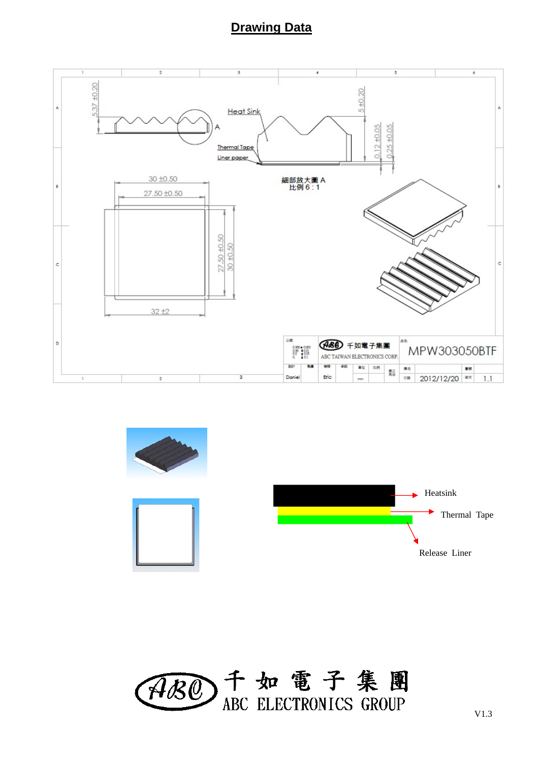#### **Drawing Data**





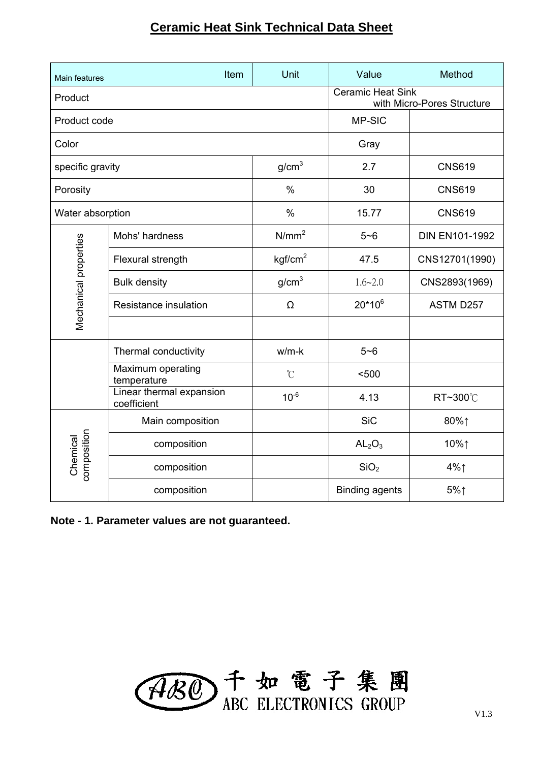### **Ceramic Heat Sink Technical Data Sheet**

| Main features           | Item                                    | Unit                | Value                          | Method                     |
|-------------------------|-----------------------------------------|---------------------|--------------------------------|----------------------------|
| Product                 |                                         |                     | <b>Ceramic Heat Sink</b>       | with Micro-Pores Structure |
| Product code            |                                         |                     | MP-SIC                         |                            |
| Color                   |                                         |                     | Gray                           |                            |
| specific gravity        |                                         | g/cm <sup>3</sup>   | 2.7                            | <b>CNS619</b>              |
| Porosity                |                                         | $\%$                | 30                             | <b>CNS619</b>              |
|                         | Water absorption                        |                     | 15.77                          | <b>CNS619</b>              |
|                         | Mohs' hardness                          | N/mm <sup>2</sup>   | $5 - 6$                        | <b>DIN EN101-1992</b>      |
| Mechanical properties   | Flexural strength                       | kgf/cm <sup>2</sup> | 47.5                           | CNS12701(1990)             |
|                         | <b>Bulk density</b>                     | g/cm <sup>3</sup>   | $1.6 - 2.0$                    | CNS2893(1969)              |
|                         | Resistance insulation                   | Ω                   | $20*10^6$                      | ASTM D257                  |
|                         |                                         |                     |                                |                            |
|                         | Thermal conductivity                    | $w/m-k$             | $5 - 6$                        |                            |
|                         | Maximum operating<br>temperature        | $\mathcal{C}$       | $500$                          |                            |
|                         | Linear thermal expansion<br>coefficient | $10^{-6}$           | 4.13                           | RT~300℃                    |
| composition<br>Chemical | Main composition                        |                     | <b>SiC</b>                     | 80%↑                       |
|                         | composition                             |                     | AL <sub>2</sub> O <sub>3</sub> | 10%↑                       |
|                         | composition                             |                     | SiO <sub>2</sub>               | $4\%$                      |
|                         | composition                             |                     | <b>Binding agents</b>          | $5\%$                      |

**Note - 1. Parameter values are not guaranteed.**

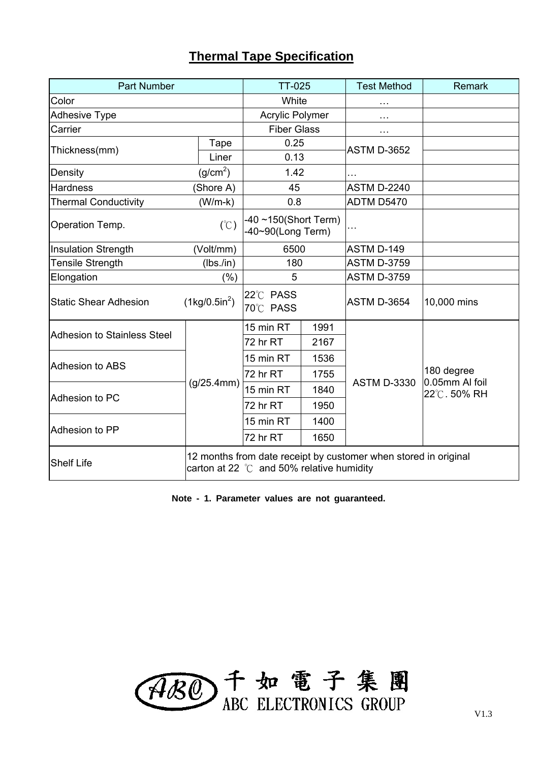#### **Thermal Tape Specification**

| <b>Part Number</b>                                            |                        | <b>TT-025</b>                                                                                                         |          | <b>Test Method</b> | <b>Remark</b>                               |  |
|---------------------------------------------------------------|------------------------|-----------------------------------------------------------------------------------------------------------------------|----------|--------------------|---------------------------------------------|--|
| Color                                                         | White                  |                                                                                                                       |          |                    |                                             |  |
| <b>Adhesive Type</b>                                          | <b>Acrylic Polymer</b> |                                                                                                                       | .        |                    |                                             |  |
| Carrier                                                       | <b>Fiber Glass</b>     |                                                                                                                       | $\cdots$ |                    |                                             |  |
| Thickness(mm)                                                 | Tape                   | 0.25                                                                                                                  |          | <b>ASTM D-3652</b> |                                             |  |
|                                                               | Liner                  | 0.13                                                                                                                  |          |                    |                                             |  |
| Density                                                       | (g/cm <sup>2</sup> )   | 1.42                                                                                                                  |          |                    |                                             |  |
| <b>Hardness</b>                                               | (Shore A)              | 45                                                                                                                    |          | <b>ASTM D-2240</b> |                                             |  |
| <b>Thermal Conductivity</b>                                   | $(W/m-k)$              | 0.8                                                                                                                   |          | ADTM D5470         |                                             |  |
| Operation Temp.                                               | $(\degree C)$          | $-40$ ~150(Short Term)<br>-40~90(Long Term)                                                                           |          | .                  |                                             |  |
| Insulation Strength                                           | (Volt/mm)              | 6500                                                                                                                  |          | ASTM D-149         |                                             |  |
| <b>Tensile Strength</b>                                       | (lbs.in)               | 180                                                                                                                   |          | <b>ASTM D-3759</b> |                                             |  |
| Elongation                                                    | $(\% )$                |                                                                                                                       | 5        |                    |                                             |  |
| $(1\text{kg}/0.5\text{in}^2)$<br><b>Static Shear Adhesion</b> |                        | 22°C PASS<br>70°C PASS                                                                                                |          | <b>ASTM D-3654</b> | 10,000 mins                                 |  |
| <b>Adhesion to Stainless Steel</b>                            |                        | 15 min RT                                                                                                             | 1991     |                    | 180 degree<br>0.05mm AI foil<br>22℃. 50% RH |  |
|                                                               |                        | 72 hr RT                                                                                                              | 2167     |                    |                                             |  |
|                                                               |                        | 15 min RT                                                                                                             | 1536     |                    |                                             |  |
| Adhesion to ABS                                               |                        | 72 hr RT                                                                                                              | 1755     |                    |                                             |  |
|                                                               | (g/25.4mm)             | 15 min RT                                                                                                             | 1840     | <b>ASTM D-3330</b> |                                             |  |
| Adhesion to PC                                                |                        | 72 hr RT                                                                                                              | 1950     |                    |                                             |  |
|                                                               |                        | 15 min RT                                                                                                             | 1400     |                    |                                             |  |
| Adhesion to PP                                                |                        | 72 hr RT                                                                                                              | 1650     |                    |                                             |  |
| <b>Shelf Life</b>                                             |                        | 12 months from date receipt by customer when stored in original<br>carton at 22 $\degree$ C and 50% relative humidity |          |                    |                                             |  |

**Note - 1. Parameter values are not guaranteed.**

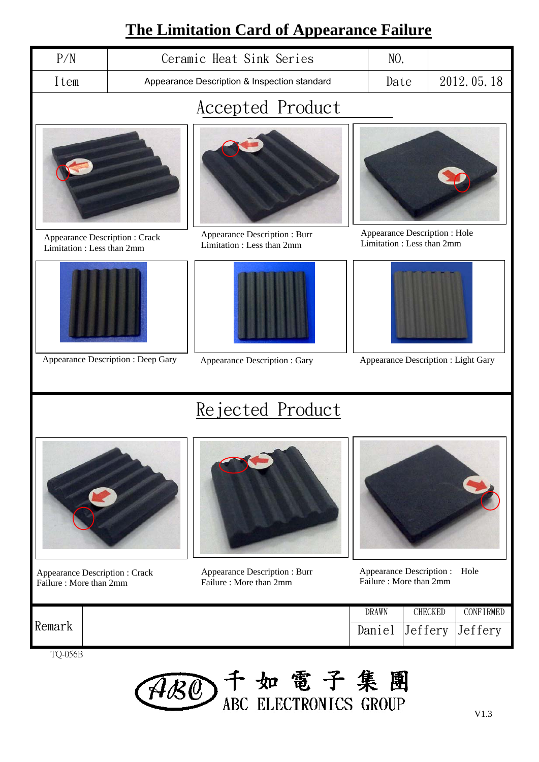## **The Limitation Card of Appearance Failure**

| <u> I ne Limitation Card of Appearance Failure</u>         |                                              |                                                            |  |                                                            |            |  |
|------------------------------------------------------------|----------------------------------------------|------------------------------------------------------------|--|------------------------------------------------------------|------------|--|
| P/N                                                        | Ceramic Heat Sink Series                     |                                                            |  | NO.                                                        |            |  |
| Item                                                       | Appearance Description & Inspection standard |                                                            |  | Date                                                       | 2012.05.18 |  |
| <b>Accepted Product</b>                                    |                                              |                                                            |  |                                                            |            |  |
|                                                            |                                              |                                                            |  |                                                            |            |  |
| Appearance Description: Crack<br>Limitation: Less than 2mm |                                              | Appearance Description : Burr<br>Limitation: Less than 2mm |  | Appearance Description : Hole<br>Limitation: Less than 2mm |            |  |
|                                                            |                                              |                                                            |  |                                                            |            |  |
|                                                            | Appearance Description : Deep Gary           | Appearance Description : Gary                              |  | Appearance Description : Light Gary                        |            |  |
|                                                            |                                              | Rejected Product                                           |  |                                                            |            |  |

- Appearance Description : Crack Failure : More than 2mm
- Appearance Description : Burr Failure : More than 2mm

Appearance Description : Hole Failure : More than 2mm

DRAWN | CHECKED | CONFIRMED

Daniel Jeffery Jeffery

Remark

TQ-056B